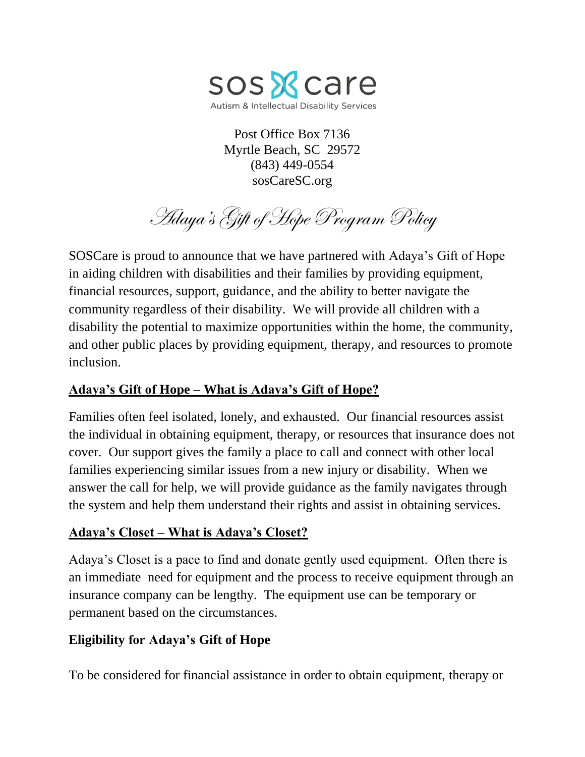

Post Office Box 7136 Myrtle Beach, SC 29572 (843) 449-0554 sosCareSC.org

Adaya's Gift of Hope Program Policy

SOSCare is proud to announce that we have partnered with Adaya's Gift of Hope in aiding children with disabilities and their families by providing equipment, financial resources, support, guidance, and the ability to better navigate the community regardless of their disability. We will provide all children with a disability the potential to maximize opportunities within the home, the community, and other public places by providing equipment, therapy, and resources to promote inclusion.

# **Adaya's Gift of Hope – What is Adaya's Gift of Hope?**

Families often feel isolated, lonely, and exhausted. Our financial resources assist the individual in obtaining equipment, therapy, or resources that insurance does not cover. Our support gives the family a place to call and connect with other local families experiencing similar issues from a new injury or disability. When we answer the call for help, we will provide guidance as the family navigates through the system and help them understand their rights and assist in obtaining services.

# **Adaya's Closet – What is Adaya's Closet?**

Adaya's Closet is a pace to find and donate gently used equipment. Often there is an immediate need for equipment and the process to receive equipment through an insurance company can be lengthy. The equipment use can be temporary or permanent based on the circumstances.

# **Eligibility for Adaya's Gift of Hope**

To be considered for financial assistance in order to obtain equipment, therapy or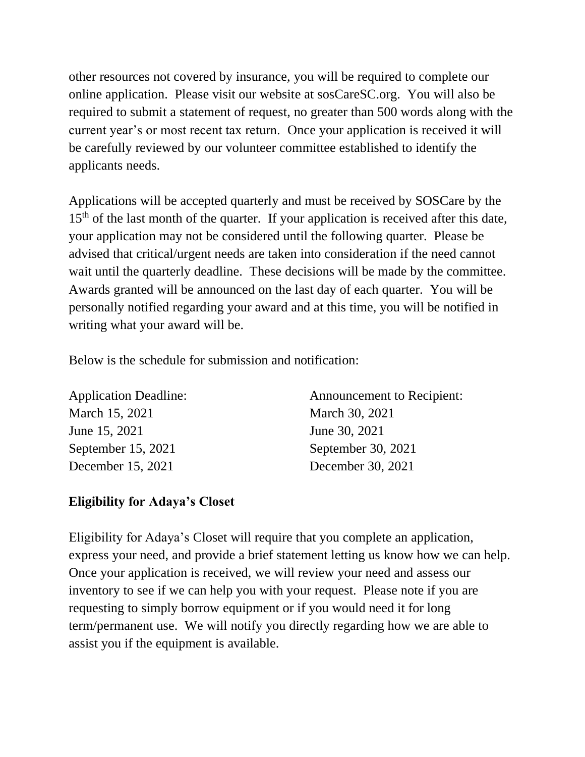other resources not covered by insurance, you will be required to complete our online application. Please visit our website at sosCareSC.org. You will also be required to submit a statement of request, no greater than 500 words along with the current year's or most recent tax return. Once your application is received it will be carefully reviewed by our volunteer committee established to identify the applicants needs.

Applications will be accepted quarterly and must be received by SOSCare by the 15<sup>th</sup> of the last month of the quarter. If your application is received after this date, your application may not be considered until the following quarter. Please be advised that critical/urgent needs are taken into consideration if the need cannot wait until the quarterly deadline. These decisions will be made by the committee. Awards granted will be announced on the last day of each quarter. You will be personally notified regarding your award and at this time, you will be notified in writing what your award will be.

Below is the schedule for submission and notification:

March 15, 2021 March 30, 2021 June 15, 2021 June 30, 2021 September 15, 2021 September 30, 2021 December 15, 2021 December 30, 2021

Application Deadline: Announcement to Recipient:

# **Eligibility for Adaya's Closet**

Eligibility for Adaya's Closet will require that you complete an application, express your need, and provide a brief statement letting us know how we can help. Once your application is received, we will review your need and assess our inventory to see if we can help you with your request. Please note if you are requesting to simply borrow equipment or if you would need it for long term/permanent use. We will notify you directly regarding how we are able to assist you if the equipment is available.